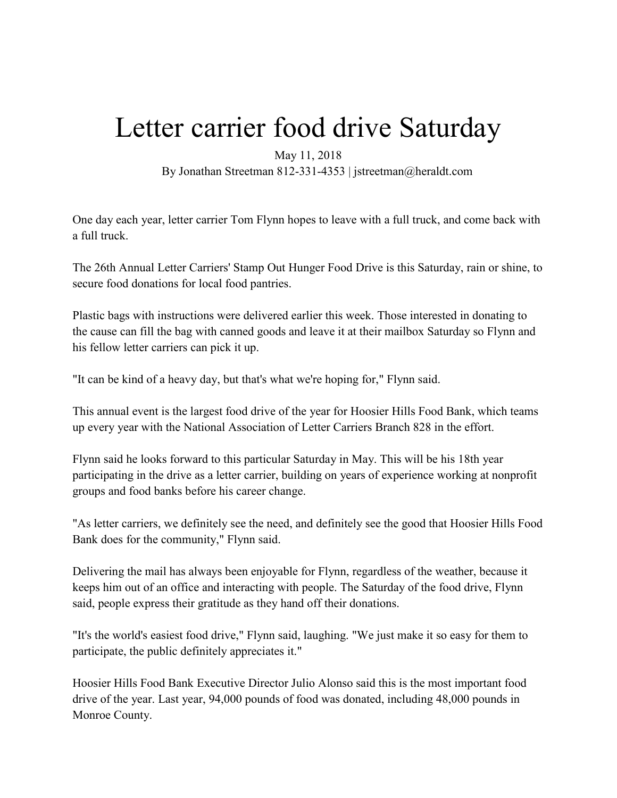## Letter carrier food drive Saturday

May 11, 2018

By Jonathan Streetman 812-331-4353 | jstreetman@heraldt.com

One day each year, letter carrier Tom Flynn hopes to leave with a full truck, and come back with a full truck.

The 26th Annual Letter Carriers' Stamp Out Hunger Food Drive is this Saturday, rain or shine, to secure food donations for local food pantries.

Plastic bags with instructions were delivered earlier this week. Those interested in donating to the cause can fill the bag with canned goods and leave it at their mailbox Saturday so Flynn and his fellow letter carriers can pick it up.

"It can be kind of a heavy day, but that's what we're hoping for," Flynn said.

This annual event is the largest food drive of the year for Hoosier Hills Food Bank, which teams up every year with the National Association of Letter Carriers Branch 828 in the effort.

Flynn said he looks forward to this particular Saturday in May. This will be his 18th year participating in the drive as a letter carrier, building on years of experience working at nonprofit groups and food banks before his career change.

"As letter carriers, we definitely see the need, and definitely see the good that Hoosier Hills Food Bank does for the community," Flynn said.

Delivering the mail has always been enjoyable for Flynn, regardless of the weather, because it keeps him out of an office and interacting with people. The Saturday of the food drive, Flynn said, people express their gratitude as they hand off their donations.

"It's the world's easiest food drive," Flynn said, laughing. "We just make it so easy for them to participate, the public definitely appreciates it."

Hoosier Hills Food Bank Executive Director Julio Alonso said this is the most important food drive of the year. Last year, 94,000 pounds of food was donated, including 48,000 pounds in Monroe County.